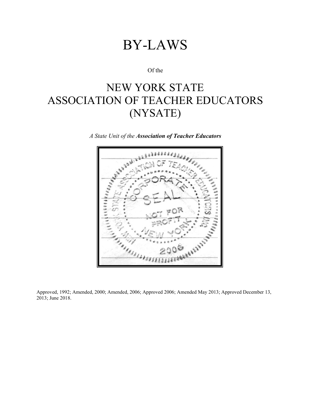# BY-LAWS

Of the

## NEW YORK STATE ASSOCIATION OF TEACHER EDUCATORS (NYSATE)

*A State Unit of the Association of Teacher Educators*

Approved, 1992; Amended, 2000; Amended, 2006; Approved 2006; Amended May 2013; Approved December 13, 2013; June 2018.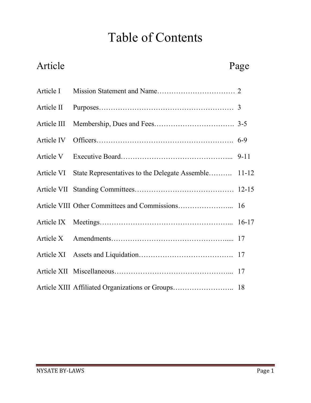# Table of Contents

# Article Page

| Article VI State Representatives to the Delegate Assemble 11-12 |  |
|-----------------------------------------------------------------|--|
|                                                                 |  |
|                                                                 |  |
|                                                                 |  |
|                                                                 |  |
|                                                                 |  |
|                                                                 |  |
| Article XIII Affiliated Organizations or Groups 18              |  |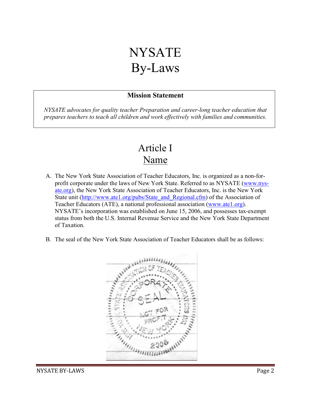# NYSATE By-Laws

### **Mission Statement**

*NYSATE advocates for quality teacher Preparation and career-long teacher education that prepares teachers to teach all children and work effectively with families and communities.*

### Article I Name

- A. The New York State Association of Teacher Educators, Inc. is organized as a non-forprofit corporate under the laws of New York State. Referred to as NYSATE (www.nysate.org), the New York State Association of Teacher Educators, Inc. is the New York State unit [\(http://www.ate1.org/pubs/State\\_and\\_Regional.cfm\)](http://www.ate1.org/pubs/State_and_Regional.cfm) of the Association of Teacher Educators (ATE), a national professional association (www.ate1.org). NYSATE's incorporation was established on June 15, 2006, and possesses tax-exempt status from both the U.S. Internal Revenue Service and the New York State Department of Taxation.
- B. The seal of the New York State Association of Teacher Educators shall be as follows:

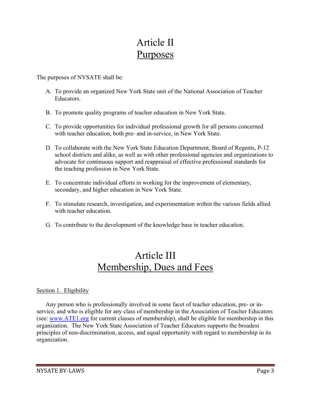### Article II Purposes

The purposes of NYSATE shall be:

- A. To provide an organized New York State unit of the National Association of Teacher Educators.
- B. To promote quality programs of teacher education in New York State.
- C. To provide opportunities for individual professional growth for all persons concerned with teacher education, both pre- and in-service, in New York State.
- D. To collaborate with the New York State Education Department, Board of Regents, P-12 school districts and alike, as well as with other professional agencies and organizations to advocate for continuous support and reappraisal of effective professional standards for the teaching profession in New York State.
- E. To concentrate individual efforts in working for the improvement of elementary, secondary, and higher education in New York State.
- F. To stimulate research, investigation, and experimentation within the various fields allied with teacher education.
- G. To contribute to the development of the knowledge base in teacher education.

### Article III Membership, Dues and Fees

#### Section 1. Eligibility

Any person who is professionally involved in some facet of teacher education, pre- or inservice, and who is eligible for any class of membership in the Association of Teacher Educators (see: [www.ATE1.org](http://www.ate1.org/) for current classes of membership), shall be eligible for membership in this organization. The New York State Association of Teacher Educators supports the broadest principles of non-discrimination, access, and equal opportunity with regard to membership in its organization.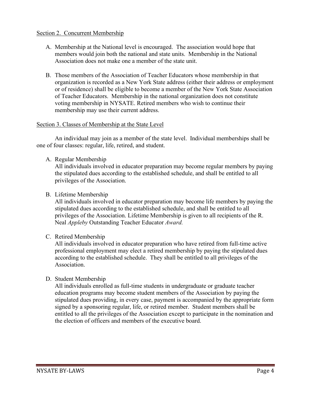#### Section 2. Concurrent Membership

- A. Membership at the National level is encouraged. The association would hope that members would join both the national and state units. Membership in the National Association does not make one a member of the state unit.
- B. Those members of the Association of Teacher Educators whose membership in that organization is recorded as a New York State address (either their address or employment or of residence) shall be eligible to become a member of the New York State Association of Teacher Educators. Membership in the national organization does not constitute voting membership in NYSATE. Retired members who wish to continue their membership may use their current address.

#### Section 3. Classes of Membership at the State Level

An individual may join as a member of the state level. Individual memberships shall be one of four classes: regular, life, retired, and student.

A. Regular Membership

All individuals involved in educator preparation may become regular members by paying the stipulated dues according to the established schedule, and shall be entitled to all privileges of the Association.

B. Lifetime Membership

All individuals involved in educator preparation may become life members by paying the stipulated dues according to the established schedule, and shall be entitled to all privileges of the Association. Lifetime Membership is given to all recipients of the R. Neal *Appleby* Outstanding Teacher Educator *Award.*

C. Retired Membership

All individuals involved in educator preparation who have retired from full-time active professional employment may elect a retired membership by paying the stipulated dues according to the established schedule. They shall be entitled to all privileges of the Association.

D. Student Membership

All individuals enrolled as full-time students in undergraduate or graduate teacher education programs may become student members of the Association by paying the stipulated dues providing, in every case, payment is accompanied by the appropriate form signed by a sponsoring regular, life, or retired member. Student members shall be entitled to all the privileges of the Association except to participate in the nomination and the election of officers and members of the executive board.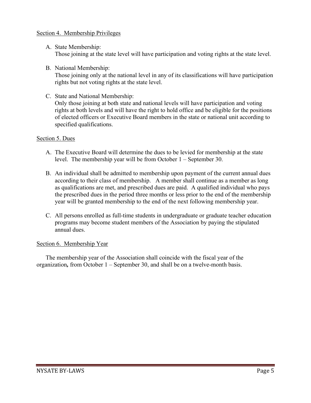#### Section 4. Membership Privileges

- A. State Membership: Those joining at the state level will have participation and voting rights at the state level.
- B. National Membership:

Those joining only at the national level in any of its classifications will have participation rights but not voting rights at the state level.

C. State and National Membership:

Only those joining at both state and national levels will have participation and voting rights at both levels and will have the right to hold office and be eligible for the positions of elected officers or Executive Board members in the state or national unit according to specified qualifications.

#### Section 5. Dues

- A. The Executive Board will determine the dues to be levied for membership at the state level. The membership year will be from October 1 – September 30.
- B. An individual shall be admitted to membership upon payment of the current annual dues according to their class of membership. A member shall continue as a member as long as qualifications are met, and prescribed dues are paid. A qualified individual who pays the prescribed dues in the period three months or less prior to the end of the membership year will be granted membership to the end of the next following membership year.
- C. All persons enrolled as full-time students in undergraduate or graduate teacher education programs may become student members of the Association by paying the stipulated annual dues.

#### Section 6. Membership Year

The membership year of the Association shall coincide with the fiscal year of the organization*,* from October 1 – September 30, and shall be on a twelve-month basis.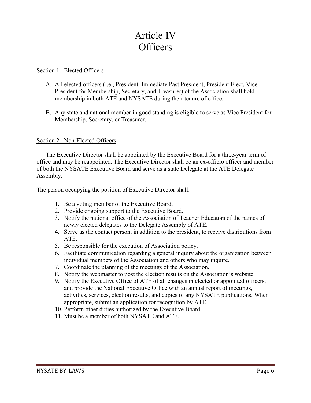### Article IV **Officers**

#### Section 1. Elected Officers

- A. All elected officers (i.e., President, Immediate Past President, President Elect, Vice President for Membership, Secretary, and Treasurer) of the Association shall hold membership in both ATE and NYSATE during their tenure of office.
- B. Any state and national member in good standing is eligible to serve as Vice President for Membership, Secretary, or Treasurer.

#### Section 2. Non-Elected Officers

The Executive Director shall be appointed by the Executive Board for a three-year term of office and may be reappointed. The Executive Director shall be an ex-officio officer and member of both the NYSATE Executive Board and serve as a state Delegate at the ATE Delegate Assembly.

The person occupying the position of Executive Director shall:

- 1. Be a voting member of the Executive Board.
- 2. Provide ongoing support to the Executive Board.
- 3. Notify the national office of the Association of Teacher Educators of the names of newly elected delegates to the Delegate Assembly of ATE.
- 4. Serve as the contact person, in addition to the president, to receive distributions from ATE.
- 5. Be responsible for the execution of Association policy.
- 6. Facilitate communication regarding a general inquiry about the organization between individual members of the Association and others who may inquire.
- 7. Coordinate the planning of the meetings of the Association.
- 8. Notify the webmaster to post the election results on the Association's website.
- 9. Notify the Executive Office of ATE of all changes in elected or appointed officers, and provide the National Executive Office with an annual report of meetings, activities, services, election results, and copies of any NYSATE publications. When appropriate, submit an application for recognition by ATE.
- 10. Perform other duties authorized by the Executive Board.
- 11. Must be a member of both NYSATE and ATE.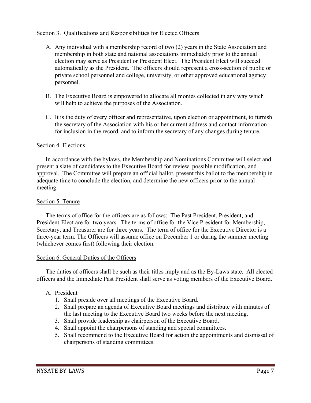#### Section 3. Qualifications and Responsibilities for Elected Officers

- A. Any individual with a membership record of two (2) years in the State Association and membership in both state and national associations immediately prior to the annual election may serve as President or President Elect. The President Elect will succeed automatically as the President. The officers should represent a cross-section of public or private school personnel and college, university, or other approved educational agency personnel.
- B. The Executive Board is empowered to allocate all monies collected in any way which will help to achieve the purposes of the Association.
- C. It is the duty of every officer and representative, upon election or appointment, to furnish the secretary of the Association with his or her current address and contact information for inclusion in the record, and to inform the secretary of any changes during tenure.

#### Section 4. Elections

In accordance with the bylaws, the Membership and Nominations Committee will select and present a slate of candidates to the Executive Board for review, possible modification, and approval. The Committee will prepare an official ballot, present this ballot to the membership in adequate time to conclude the election, and determine the new officers prior to the annual meeting.

#### Section 5. Tenure

The terms of office for the officers are as follows: The Past President, President, and President-Elect are for two years. The terms of office for the Vice President for Membership, Secretary, and Treasurer are for three years. The term of office for the Executive Director is a three-year term. The Officers will assume office on December 1 or during the summer meeting (whichever comes first) following their election.

#### Section 6. General Duties of the Officers

The duties of officers shall be such as their titles imply and as the By-Laws state. All elected officers and the Immediate Past President shall serve as voting members of the Executive Board.

#### A. President

- 1. Shall preside over all meetings of the Executive Board.
- 2. Shall prepare an agenda of Executive Board meetings and distribute with minutes of the last meeting to the Executive Board two weeks before the next meeting.
- 3. Shall provide leadership as chairperson of the Executive Board.
- 4. Shall appoint the chairpersons of standing and special committees.
- 5. Shall recommend to the Executive Board for action the appointments and dismissal of chairpersons of standing committees.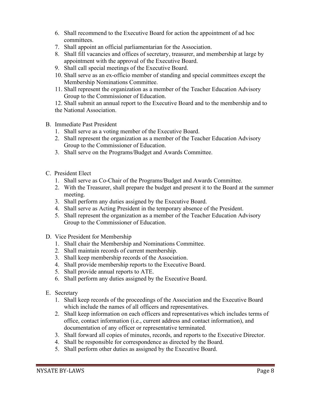- 6. Shall recommend to the Executive Board for action the appointment of ad hoc committees.
- 7. Shall appoint an official parliamentarian for the Association.
- 8. Shall fill vacancies and offices of secretary, treasurer, and membership at large by appointment with the approval of the Executive Board.
- 9. Shall call special meetings of the Executive Board.
- 10. Shall serve as an ex-officio member of standing and special committees except the Membership Nominations Committee.
- 11. Shall represent the organization as a member of the Teacher Education Advisory Group to the Commissioner of Education.
- 12. Shall submit an annual report to the Executive Board and to the membership and to the National Association.
- B. Immediate Past President
	- 1. Shall serve as a voting member of the Executive Board.
	- 2. Shall represent the organization as a member of the Teacher Education Advisory Group to the Commissioner of Education.
	- 3. Shall serve on the Programs/Budget and Awards Committee.
- C. President Elect
	- 1. Shall serve as Co-Chair of the Programs/Budget and Awards Committee.
	- 2. With the Treasurer, shall prepare the budget and present it to the Board at the summer meeting.
	- 3. Shall perform any duties assigned by the Executive Board.
	- 4. Shall serve as Acting President in the temporary absence of the President.
	- 5. Shall represent the organization as a member of the Teacher Education Advisory Group to the Commissioner of Education.
- D. Vice President for Membership
	- 1. Shall chair the Membership and Nominations Committee.
	- 2. Shall maintain records of current membership.
	- 3. Shall keep membership records of the Association.
	- 4. Shall provide membership reports to the Executive Board.
	- 5. Shall provide annual reports to ATE.
	- 6. Shall perform any duties assigned by the Executive Board.
- E. Secretary
	- 1. Shall keep records of the proceedings of the Association and the Executive Board which include the names of all officers and representatives.
	- 2. Shall keep information on each officers and representatives which includes terms of office, contact information (i.e., current address and contact information), and documentation of any officer or representative terminated.
	- 3. Shall forward all copies of minutes, records, and reports to the Executive Director.
	- 4. Shall be responsible for correspondence as directed by the Board.
	- 5. Shall perform other duties as assigned by the Executive Board.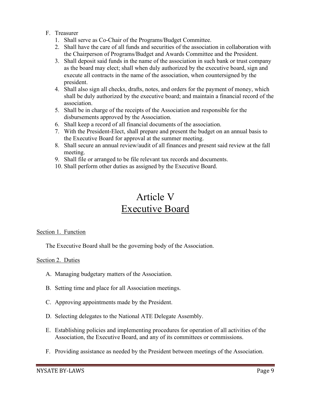#### F. Treasurer

- 1. Shall serve as Co-Chair of the Programs/Budget Committee.
- 2. Shall have the care of all funds and securities of the association in collaboration with the Chairperson of Programs/Budget and Awards Committee and the President.
- 3. Shall deposit said funds in the name of the association in such bank or trust company as the board may elect; shall when duly authorized by the executive board, sign and execute all contracts in the name of the association, when countersigned by the president.
- 4. Shall also sign all checks, drafts, notes, and orders for the payment of money, which shall be duly authorized by the executive board; and maintain a financial record of the association.
- 5. Shall be in charge of the receipts of the Association and responsible for the disbursements approved by the Association.
- 6. Shall keep a record of all financial documents of the association.
- 7. With the President-Elect, shall prepare and present the budget on an annual basis to the Executive Board for approval at the summer meeting.
- 8. Shall secure an annual review/audit of all finances and present said review at the fall meeting.
- 9. Shall file or arranged to be file relevant tax records and documents.
- 10. Shall perform other duties as assigned by the Executive Board.

### Article V Executive Board

#### Section 1. Function

The Executive Board shall be the governing body of the Association.

#### Section 2. Duties

- A. Managing budgetary matters of the Association.
- B. Setting time and place for all Association meetings.
- C. Approving appointments made by the President.
- D. Selecting delegates to the National ATE Delegate Assembly.
- E. Establishing policies and implementing procedures for operation of all activities of the Association, the Executive Board, and any of its committees or commissions.
- F. Providing assistance as needed by the President between meetings of the Association.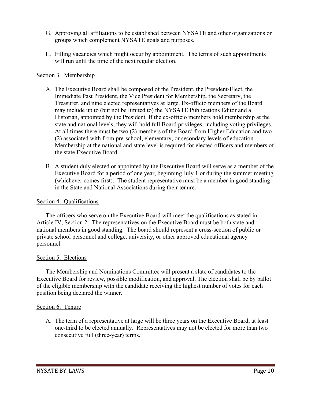- G. Approving all affiliations to be established between NYSATE and other organizations or groups which complement NYSATE goals and purposes.
- H. Filling vacancies which might occur by appointment. The terms of such appointments will run until the time of the next regular election.

#### Section 3. Membership

- A. The Executive Board shall be composed of the President, the President-Elect, the Immediate Past President, the Vice President for Membership*,* the Secretary, the Treasurer, and nine elected representatives at large. Ex-officio members of the Board may include up to (but not be limited to) the NYSATE Publications Editor and a Historian, appointed by the President. If the ex-officio members hold membership at the state and national levels, they will hold full Board privileges, including voting privileges. At all times there must be two (2) members of the Board from Higher Education and two (2) associated with from pre-school, elementary, or secondary levels of education. Membership at the national and state level is required for elected officers and members of the state Executive Board.
- B. A student duly elected or appointed by the Executive Board will serve as a member of the Executive Board for a period of one year, beginning July 1 or during the summer meeting (whichever comes first). The student representative must be a member in good standing in the State and National Associations during their tenure.

#### Section 4. Qualifications

The officers who serve on the Executive Board will meet the qualifications as stated in Article IV, Section 2. The representatives on the Executive Board must be both state and national members in good standing. The board should represent a cross-section of public or private school personnel and college, university, or other approved educational agency personnel.

#### Section 5. Elections

The Membership and Nominations Committee will present a slate of candidates to the Executive Board for review, possible modification, and approval. The election shall be by ballot of the eligible membership with the candidate receiving the highest number of votes for each position being declared the winner.

#### Section 6. Tenure

A. The term of a representative at large will be three years on the Executive Board, at least one-third to be elected annually. Representatives may not be elected for more than two consecutive full (three-year) terms.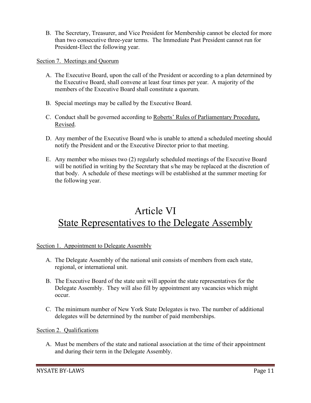B. The Secretary, Treasurer, and Vice President for Membership cannot be elected for more than two consecutive three-year terms. The Immediate Past President cannot run for President-Elect the following year.

Section 7. Meetings and Quorum

- A. The Executive Board, upon the call of the President or according to a plan determined by the Executive Board, shall convene at least four times per year. A majority of the members of the Executive Board shall constitute a quorum.
- B. Special meetings may be called by the Executive Board.
- C. Conduct shall be governed according to Roberts' Rules of Parliamentary Procedure, Revised.
- D. Any member of the Executive Board who is unable to attend a scheduled meeting should notify the President and or the Executive Director prior to that meeting.
- E. Any member who misses two (2) regularly scheduled meetings of the Executive Board will be notified in writing by the Secretary that s/he may be replaced at the discretion of that body. A schedule of these meetings will be established at the summer meeting for the following year.

### Article VI State Representatives to the Delegate Assembly

#### Section 1. Appointment to Delegate Assembly

- A. The Delegate Assembly of the national unit consists of members from each state, regional, or international unit.
- B. The Executive Board of the state unit will appoint the state representatives for the Delegate Assembly. They will also fill by appointment any vacancies which might occur.
- C. The minimum number of New York State Delegates is two. The number of additional delegates will be determined by the number of paid memberships.

#### Section 2. Qualifications

A. Must be members of the state and national association at the time of their appointment and during their term in the Delegate Assembly.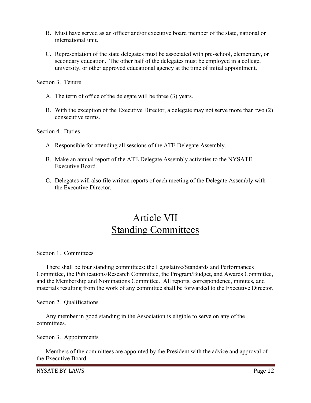- B. Must have served as an officer and/or executive board member of the state, national or international unit.
- C. Representation of the state delegates must be associated with pre-school, elementary, or secondary education. The other half of the delegates must be employed in a college, university, or other approved educational agency at the time of initial appointment.

Section 3. Tenure

- A. The term of office of the delegate will be three (3) years.
- B. With the exception of the Executive Director, a delegate may not serve more than two (2) consecutive terms.

#### Section 4. Duties

- A. Responsible for attending all sessions of the ATE Delegate Assembly.
- B. Make an annual report of the ATE Delegate Assembly activities to the NYSATE Executive Board.
- C. Delegates will also file written reports of each meeting of the Delegate Assembly with the Executive Director.

### Article VII Standing Committees

#### Section 1. Committees

There shall be four standing committees: the Legislative/Standards and Performances Committee, the Publications/Research Committee, the Program/Budget, and Awards Committee, and the Membership and Nominations Committee. All reports, correspondence, minutes, and materials resulting from the work of any committee shall be forwarded to the Executive Director.

#### Section 2. Qualifications

Any member in good standing in the Association is eligible to serve on any of the committees.

#### Section 3. Appointments

Members of the committees are appointed by the President with the advice and approval of the Executive Board.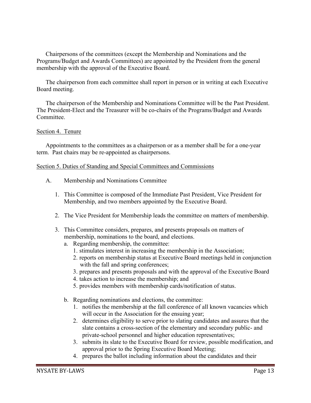Chairpersons of the committees (except the Membership and Nominations and the Programs/Budget and Awards Committees) are appointed by the President from the general membership with the approval of the Executive Board.

The chairperson from each committee shall report in person or in writing at each Executive Board meeting.

The chairperson of the Membership and Nominations Committee will be the Past President. The President-Elect and the Treasurer will be co-chairs of the Programs/Budget and Awards Committee.

#### Section 4. Tenure

Appointments to the committees as a chairperson or as a member shall be for a one-year term. Past chairs may be re-appointed as chairpersons.

#### Section 5. Duties of Standing and Special Committees and Commissions

- A. Membership and Nominations Committee
	- 1. This Committee is composed of the Immediate Past President, Vice President for Membership, and two members appointed by the Executive Board.
	- 2. The Vice President for Membership leads the committee on matters of membership.
	- 3. This Committee considers, prepares, and presents proposals on matters of membership, nominations to the board, and elections.
		- a. Regarding membership, the committee:
			- 1. stimulates interest in increasing the membership in the Association;
			- 2. reports on membership status at Executive Board meetings held in conjunction with the fall and spring conferences;
			- 3. prepares and presents proposals and with the approval of the Executive Board
			- 4. takes action to increase the membership; and
			- 5. provides members with membership cards/notification of status.
		- b. Regarding nominations and elections, the committee:
			- 1. notifies the membership at the fall conference of all known vacancies which will occur in the Association for the ensuing year;
			- 2. determines eligibility to serve prior to slating candidates and assures that the slate contains a cross-section of the elementary and secondary public- and private-school personnel and higher education representatives;
			- 3. submits its slate to the Executive Board for review, possible modification, and approval prior to the Spring Executive Board Meeting;
			- 4. prepares the ballot including information about the candidates and their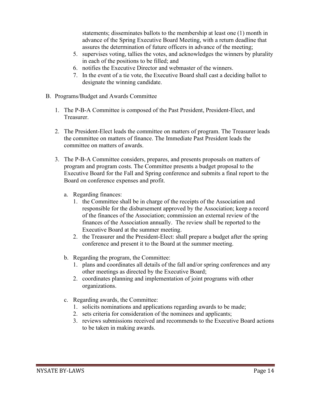statements; disseminates ballots to the membership at least one (1) month in advance of the Spring Executive Board Meeting, with a return deadline that assures the determination of future officers in advance of the meeting;

- 5. supervises voting, tallies the votes, and acknowledges the winners by plurality in each of the positions to be filled; and
- 6. notifies the Executive Director and webmaster of the winners.
- 7. In the event of a tie vote, the Executive Board shall cast a deciding ballot to designate the winning candidate.
- B. Programs/Budget and Awards Committee
	- 1. The P-B-A Committee is composed of the Past President, President-Elect, and Treasurer.
	- 2. The President-Elect leads the committee on matters of program. The Treasurer leads the committee on matters of finance. The Immediate Past President leads the committee on matters of awards.
	- 3. The P-B-A Committee considers, prepares, and presents proposals on matters of program and program costs. The Committee presents a budget proposal to the Executive Board for the Fall and Spring conference and submits a final report to the Board on conference expenses and profit.
		- a. Regarding finances:
			- 1. the Committee shall be in charge of the receipts of the Association and responsible for the disbursement approved by the Association; keep a record of the finances of the Association; commission an external review of the finances of the Association annually. The review shall be reported to the Executive Board at the summer meeting.
			- 2. the Treasurer and the President-Elect: shall prepare a budget after the spring conference and present it to the Board at the summer meeting.
		- b. Regarding the program, the Committee:
			- 1. plans and coordinates all details of the fall and/or spring conferences and any other meetings as directed by the Executive Board;
			- 2. coordinates planning and implementation of joint programs with other organizations.
		- c. Regarding awards, the Committee:
			- 1. solicits nominations and applications regarding awards to be made;
			- 2. sets criteria for consideration of the nominees and applicants;
			- 3. reviews submissions received and recommends to the Executive Board actions to be taken in making awards.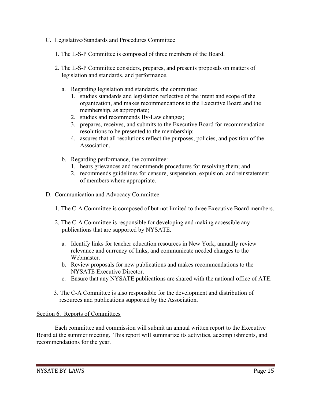- C. Legislative/Standards and Procedures Committee
	- 1. The L-S-P Committee is composed of three members of the Board.
	- 2. The L-S-P Committee considers, prepares, and presents proposals on matters of legislation and standards, and performance.
		- a. Regarding legislation and standards, the committee:
			- 1. studies standards and legislation reflective of the intent and scope of the organization, and makes recommendations to the Executive Board and the membership, as appropriate;
			- 2. studies and recommends By-Law changes;
			- 3. prepares, receives, and submits to the Executive Board for recommendation resolutions to be presented to the membership;
			- 4. assures that all resolutions reflect the purposes, policies, and position of the Association.
		- b. Regarding performance, the committee:
			- 1. hears grievances and recommends procedures for resolving them; and
			- 2. recommends guidelines for censure, suspension, expulsion, and reinstatement of members where appropriate.
- D. Communication and Advocacy Committee
	- 1. The C-A Committee is composed of but not limited to three Executive Board members.
	- 2. The C-A Committee is responsible for developing and making accessible any publications that are supported by NYSATE.
		- a. Identify links for teacher education resources in New York, annually review relevance and currency of links, and communicate needed changes to the Webmaster.
		- b. Review proposals for new publications and makes recommendations to the NYSATE Executive Director.
		- c. Ensure that any NYSATE publications are shared with the national office of ATE.
	- 3. The C-A Committee is also responsible for the development and distribution of resources and publications supported by the Association.

#### Section 6. Reports of Committees

Each committee and commission will submit an annual written report to the Executive Board at the summer meeting. This report will summarize its activities, accomplishments, and recommendations for the year.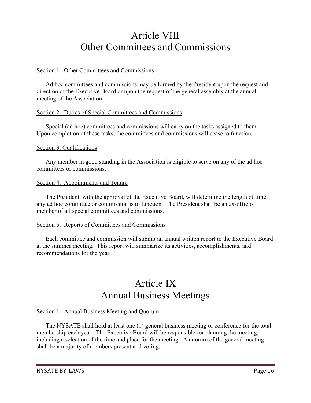### Article VIII Other Committees and Commissions

#### Section 1. Other Committees and Commissions

Ad hoc committees and commissions may be formed by the President upon the request and direction of the Executive Board or upon the request of the general assembly at the annual meeting of the Association.

#### Section 2. Duties of Special Committees and Commissions

Special (ad hoc) committees and commissions will carry on the tasks assigned to them. Upon completion of these tasks, the committees and commissions will cease to function.

#### Section 3. Qualifications

Any member in good standing in the Association is eligible to serve on any of the ad hoc committees or commissions.

#### Section 4. Appointments and Tenure

The President, with the approval of the Executive Board, will determine the length of time any ad hoc committee or commission is to function. The President shall be an ex-officio member of all special committees and commissions.

#### Section 5. Reports of Committees and Commissions

Each committee and commission will submit an annual written report to the Executive Board at the summer meeting. This report will summarize its activities, accomplishments, and recommendations for the year.

### Article IX Annual Business Meetings

#### Section 1. Annual Business Meeting and Quorum

The NYSATE shall hold at least one (1) general business meeting or conference for the total membership each year. The Executive Board will be responsible for planning the meeting, including a selection of the time and place for the meeting. A quorum of the general meeting shall be a majority of members present and voting.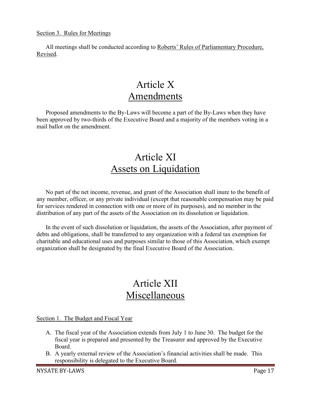#### Section 3. Rules for Meetings

All meetings shall be conducted according to Roberts' Rules of Parliamentary Procedure, Revised.

### Article X Amendments

Proposed amendments to the By-Laws will become a part of the By-Laws when they have been approved by two-thirds of the Executive Board and a majority of the members voting in a mail ballot on the amendment.

### Article XI Assets on Liquidation

No part of the net income, revenue, and grant of the Association shall inure to the benefit of any member, officer, or any private individual (except that reasonable compensation may be paid for services rendered in connection with one or more of its purposes), and no member in the distribution of any part of the assets of the Association on its dissolution or liquidation.

In the event of such dissolution or liquidation, the assets of the Association, after payment of debts and obligations, shall be transferred to any organization with a federal tax exemption for charitable and educational uses and purposes similar to those of this Association, which exempt organization shall be designated by the final Executive Board of the Association.

### Article XII Miscellaneous

Section 1. The Budget and Fiscal Year

- A. The fiscal year of the Association extends from July 1 to June 30. The budget for the fiscal year is prepared and presented by the Treasurer and approved by the Executive Board.
- B. A yearly external review of the Association's financial activities shall be made. This responsibility is delegated to the Executive Board.